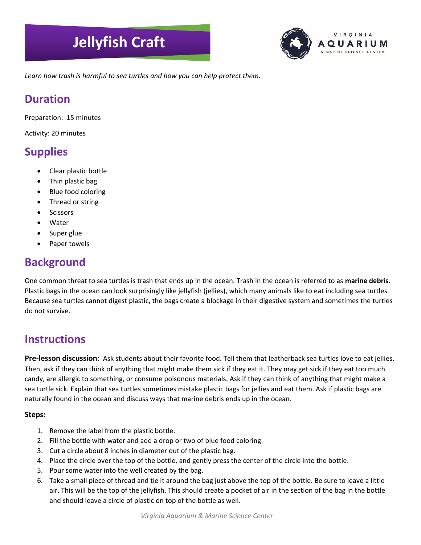# **Jellyfish Craft**



*Learn how trash is harmful to sea turtles and how you can help protect them.* 

# **Duration**

Preparation: 15 minutes

Activity: 20 minutes

#### **Supplies**

- Clear plastic bottle
- Thin plastic bag
- Blue food coloring
- Thread or string
- **Scissors**
- Water
- Super glue
- Paper towels

# **Background**

One common threat to sea turtles is trash that ends up in the ocean. Trash in the ocean is referred to as **marine debris**. Plastic bags in the ocean can look surprisingly like jellyfish (jellies), which many animals like to eat including sea turtles. Because sea turtles cannot digest plastic, the bags create a blockage in their digestive system and sometimes the turtles do not survive.

# **Instructions**

**Pre-lesson discussion:** Ask students about their favorite food. Tell them that leatherback sea turtles love to eat jellies. Then, ask if they can think of anything that might make them sick if they eat it. They may get sick if they eat too much candy, are allergic to something, or consume poisonous materials. Ask if they can think of anything that might make a sea turtle sick. Explain that sea turtles sometimes mistake plastic bags for jellies and eat them. Ask if plastic bags are naturally found in the ocean and discuss ways that marine debris ends up in the ocean.

#### **Steps:**

- 1. Remove the label from the plastic bottle.
- 2. Fill the bottle with water and add a drop or two of blue food coloring.
- 3. Cut a circle about 8 inches in diameter out of the plastic bag.
- 4. Place the circle over the top of the bottle, and gently press the center of the circle into the bottle.
- 5. Pour some water into the well created by the bag.
- 6. Take a small piece of thread and tie it around the bag just above the top of the bottle. Be sure to leave a little air. This will be the top of the jellyfish. This should create a pocket of air in the section of the bag in the bottle and should leave a circle of plastic on top of the bottle as well.